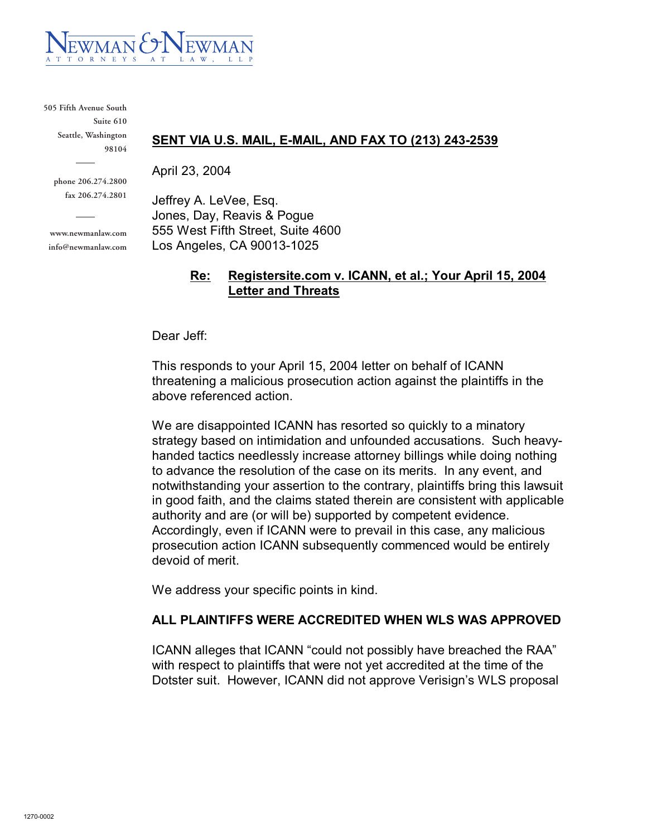

**505 Fifth Avenue South Suite 610 Seattle, Washington 98104**

> **phone 206.274.2800 fax 206.274.2801**

**www.newmanlaw.com info@newmanlaw.com**

#### **SENT VIA U.S. MAIL, E-MAIL, AND FAX TO (213) 243-2539**

April 23, 2004

Jeffrey A. LeVee, Esq. Jones, Day, Reavis & Pogue 555 West Fifth Street, Suite 4600 Los Angeles, CA 90013-1025

### **Re: Registersite.com v. ICANN, et al.; Your April 15, 2004 Letter and Threats**

Dear Jeff:

This responds to your April 15, 2004 letter on behalf of ICANN threatening a malicious prosecution action against the plaintiffs in the above referenced action.

We are disappointed ICANN has resorted so quickly to a minatory strategy based on intimidation and unfounded accusations. Such heavyhanded tactics needlessly increase attorney billings while doing nothing to advance the resolution of the case on its merits. In any event, and notwithstanding your assertion to the contrary, plaintiffs bring this lawsuit in good faith, and the claims stated therein are consistent with applicable authority and are (or will be) supported by competent evidence. Accordingly, even if ICANN were to prevail in this case, any malicious prosecution action ICANN subsequently commenced would be entirely devoid of merit.

We address your specific points in kind.

### **ALL PLAINTIFFS WERE ACCREDITED WHEN WLS WAS APPROVED**

ICANN alleges that ICANN "could not possibly have breached the RAA" with respect to plaintiffs that were not yet accredited at the time of the Dotster suit. However, ICANN did not approve Verisign's WLS proposal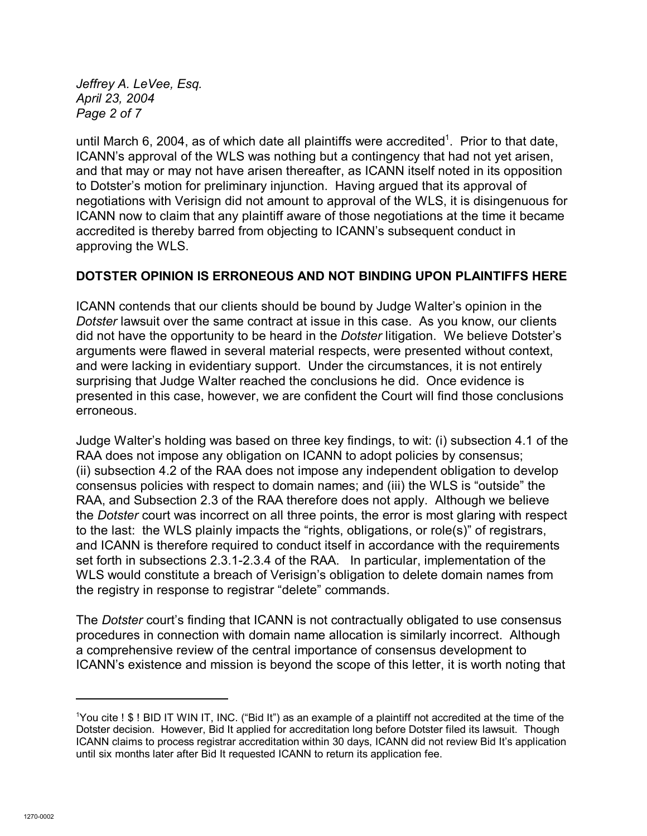*Jeffrey A. LeVee, Esq. April 23, 2004 Page 2 of 7*

until March 6, 2004, as of which date all plaintiffs were accredited<sup>1</sup>. Prior to that date, ICANN's approval of the WLS was nothing but a contingency that had not yet arisen, and that may or may not have arisen thereafter, as ICANN itself noted in its opposition to Dotster's motion for preliminary injunction. Having argued that its approval of negotiations with Verisign did not amount to approval of the WLS, it is disingenuous for ICANN now to claim that any plaintiff aware of those negotiations at the time it became accredited is thereby barred from objecting to ICANN's subsequent conduct in approving the WLS.

### **DOTSTER OPINION IS ERRONEOUS AND NOT BINDING UPON PLAINTIFFS HERE**

ICANN contends that our clients should be bound by Judge Walter's opinion in the *Dotster* lawsuit over the same contract at issue in this case. As you know, our clients did not have the opportunity to be heard in the *Dotster* litigation. We believe Dotster's arguments were flawed in several material respects, were presented without context, and were lacking in evidentiary support. Under the circumstances, it is not entirely surprising that Judge Walter reached the conclusions he did. Once evidence is presented in this case, however, we are confident the Court will find those conclusions erroneous.

Judge Walter's holding was based on three key findings, to wit: (i) subsection 4.1 of the RAA does not impose any obligation on ICANN to adopt policies by consensus; (ii) subsection 4.2 of the RAA does not impose any independent obligation to develop consensus policies with respect to domain names; and (iii) the WLS is "outside" the RAA, and Subsection 2.3 of the RAA therefore does not apply. Although we believe the *Dotster* court was incorrect on all three points, the error is most glaring with respect to the last: the WLS plainly impacts the "rights, obligations, or role(s)" of registrars, and ICANN is therefore required to conduct itself in accordance with the requirements set forth in subsections 2.3.1-2.3.4 of the RAA. In particular, implementation of the WLS would constitute a breach of Verisign's obligation to delete domain names from the registry in response to registrar "delete" commands.

The *Dotster* court's finding that ICANN is not contractually obligated to use consensus procedures in connection with domain name allocation is similarly incorrect. Although a comprehensive review of the central importance of consensus development to ICANN's existence and mission is beyond the scope of this letter, it is worth noting that

<sup>1</sup>You cite ! \$ ! BID IT WIN IT, INC. ("Bid It") as an example of a plaintiff not accredited at the time of the Dotster decision. However, Bid It applied for accreditation long before Dotster filed its lawsuit. Though ICANN claims to process registrar accreditation within 30 days, ICANN did not review Bid It's application until six months later after Bid It requested ICANN to return its application fee.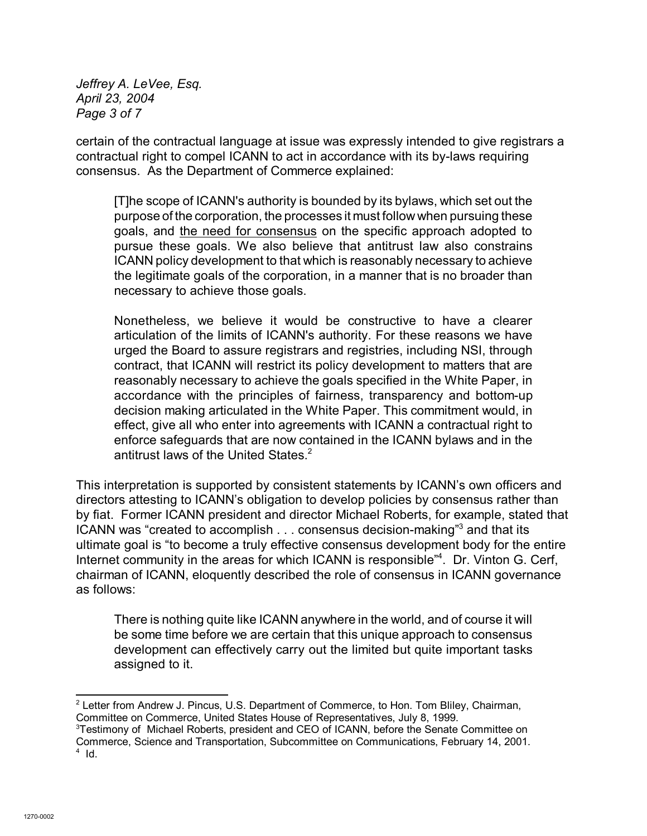*Jeffrey A. LeVee, Esq. April 23, 2004 Page 3 of 7*

certain of the contractual language at issue was expressly intended to give registrars a contractual right to compel ICANN to act in accordance with its by-laws requiring consensus. As the Department of Commerce explained:

[T]he scope of ICANN's authority is bounded by its bylaws, which set out the purpose of the corporation, the processes it must follow when pursuing these goals, and the need for consensus on the specific approach adopted to pursue these goals. We also believe that antitrust law also constrains ICANN policy development to that which is reasonably necessary to achieve the legitimate goals of the corporation, in a manner that is no broader than necessary to achieve those goals.

Nonetheless, we believe it would be constructive to have a clearer articulation of the limits of ICANN's authority. For these reasons we have urged the Board to assure registrars and registries, including NSI, through contract, that ICANN will restrict its policy development to matters that are reasonably necessary to achieve the goals specified in the White Paper, in accordance with the principles of fairness, transparency and bottom-up decision making articulated in the White Paper. This commitment would, in effect, give all who enter into agreements with ICANN a contractual right to enforce safeguards that are now contained in the ICANN bylaws and in the antitrust laws of the United States.<sup>2</sup>

This interpretation is supported by consistent statements by ICANN's own officers and directors attesting to ICANN's obligation to develop policies by consensus rather than by fiat. Former ICANN president and director Michael Roberts, for example, stated that ICANN was "created to accomplish . . . consensus decision-making"<sup>3</sup> and that its ultimate goal is "to become a truly effective consensus development body for the entire Internet community in the areas for which ICANN is responsible<sup>"4</sup>. Dr. Vinton G. Cerf, chairman of ICANN, eloquently described the role of consensus in ICANN governance as follows:

There is nothing quite like ICANN anywhere in the world, and of course it will be some time before we are certain that this unique approach to consensus development can effectively carry out the limited but quite important tasks assigned to it.

<sup>3</sup>Testimony of Michael Roberts, president and CEO of ICANN, before the Senate Committee on Commerce, Science and Transportation, Subcommittee on Communications, February 14, 2001.  $4$  Id.

<sup>&</sup>lt;sup>2</sup> Letter from Andrew J. Pincus, U.S. Department of Commerce, to Hon. Tom Bliley, Chairman, Committee on Commerce, United States House of Representatives, July 8, 1999.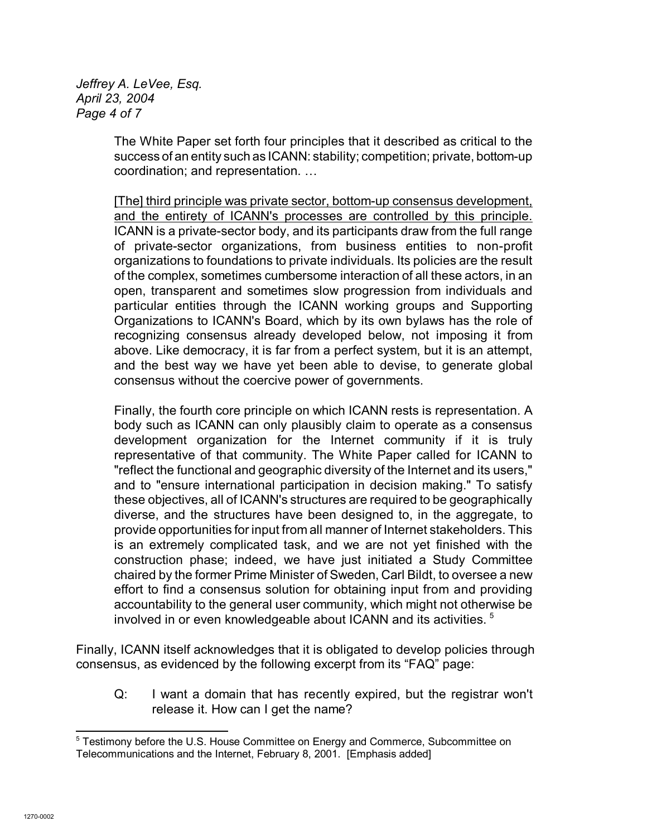*Jeffrey A. LeVee, Esq. April 23, 2004 Page 4 of 7*

> The White Paper set forth four principles that it described as critical to the success of an entity such as ICANN: stability; competition; private, bottom-up coordination; and representation. …

> [The] third principle was private sector, bottom-up consensus development, and the entirety of ICANN's processes are controlled by this principle. ICANN is a private-sector body, and its participants draw from the full range of private-sector organizations, from business entities to non-profit organizations to foundations to private individuals. Its policies are the result of the complex, sometimes cumbersome interaction of all these actors, in an open, transparent and sometimes slow progression from individuals and particular entities through the ICANN working groups and Supporting Organizations to ICANN's Board, which by its own bylaws has the role of recognizing consensus already developed below, not imposing it from above. Like democracy, it is far from a perfect system, but it is an attempt, and the best way we have yet been able to devise, to generate global consensus without the coercive power of governments.

> Finally, the fourth core principle on which ICANN rests is representation. A body such as ICANN can only plausibly claim to operate as a consensus development organization for the Internet community if it is truly representative of that community. The White Paper called for ICANN to "reflect the functional and geographic diversity of the Internet and its users," and to "ensure international participation in decision making." To satisfy these objectives, all of ICANN's structures are required to be geographically diverse, and the structures have been designed to, in the aggregate, to provide opportunities for input from all manner of Internet stakeholders. This is an extremely complicated task, and we are not yet finished with the construction phase; indeed, we have just initiated a Study Committee chaired by the former Prime Minister of Sweden, Carl Bildt, to oversee a new effort to find a consensus solution for obtaining input from and providing accountability to the general user community, which might not otherwise be involved in or even knowledgeable about ICANN and its activities.<sup>5</sup>

Finally, ICANN itself acknowledges that it is obligated to develop policies through consensus, as evidenced by the following excerpt from its "FAQ" page:

Q: I want a domain that has recently expired, but the registrar won't release it. How can I get the name?

<sup>&</sup>lt;sup>5</sup> Testimony before the U.S. House Committee on Energy and Commerce, Subcommittee on Telecommunications and the Internet, February 8, 2001. [Emphasis added]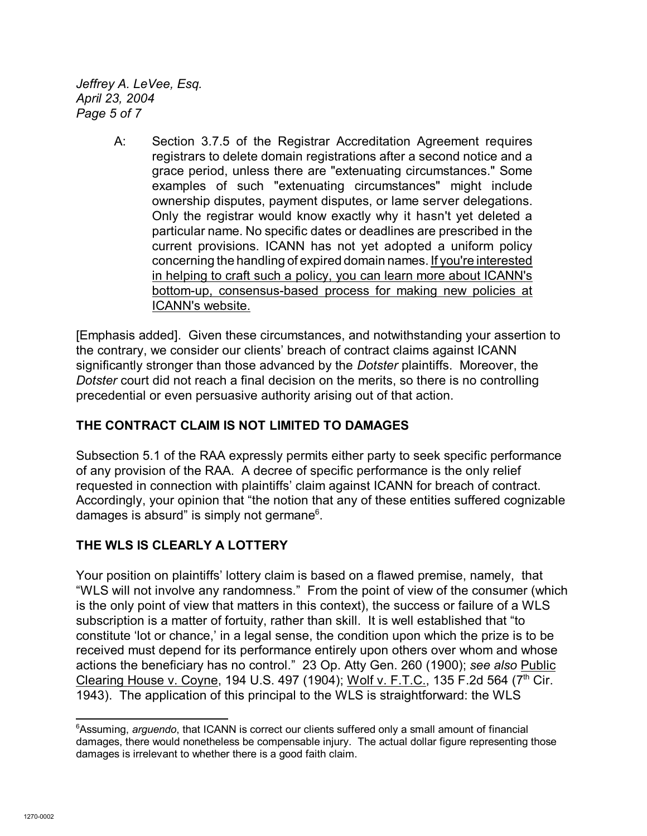*Jeffrey A. LeVee, Esq. April 23, 2004 Page 5 of 7*

> A: Section 3.7.5 of the Registrar Accreditation Agreement requires registrars to delete domain registrations after a second notice and a grace period, unless there are "extenuating circumstances." Some examples of such "extenuating circumstances" might include ownership disputes, payment disputes, or lame server delegations. Only the registrar would know exactly why it hasn't yet deleted a particular name. No specific dates or deadlines are prescribed in the current provisions. ICANN has not yet adopted a uniform policy concerning the handling of expired domain names. If you're interested in helping to craft such a policy, you can learn more about ICANN's bottom-up, consensus-based process for making new policies at ICANN's website.

[Emphasis added]. Given these circumstances, and notwithstanding your assertion to the contrary, we consider our clients' breach of contract claims against ICANN significantly stronger than those advanced by the *Dotster* plaintiffs. Moreover, the *Dotster* court did not reach a final decision on the merits, so there is no controlling precedential or even persuasive authority arising out of that action.

# **THE CONTRACT CLAIM IS NOT LIMITED TO DAMAGES**

Subsection 5.1 of the RAA expressly permits either party to seek specific performance of any provision of the RAA. A decree of specific performance is the only relief requested in connection with plaintiffs' claim against ICANN for breach of contract. Accordingly, your opinion that "the notion that any of these entities suffered cognizable damages is absurd" is simply not germane $6$ .

# **THE WLS IS CLEARLY A LOTTERY**

Your position on plaintiffs' lottery claim is based on a flawed premise, namely, that "WLS will not involve any randomness." From the point of view of the consumer (which is the only point of view that matters in this context), the success or failure of a WLS subscription is a matter of fortuity, rather than skill. It is well established that "to constitute 'lot or chance,' in a legal sense, the condition upon which the prize is to be received must depend for its performance entirely upon others over whom and whose actions the beneficiary has no control." 23 Op. Atty Gen. 260 (1900); *see also* Public Clearing House v. Coyne, 194 U.S. 497 (1904); Wolf v. F.T.C., 135 F.2d 564 (7<sup>th</sup> Cir. 1943). The application of this principal to the WLS is straightforward: the WLS

<sup>6</sup>Assuming, *arguendo*, that ICANN is correct our clients suffered only a small amount of financial damages, there would nonetheless be compensable injury. The actual dollar figure representing those damages is irrelevant to whether there is a good faith claim.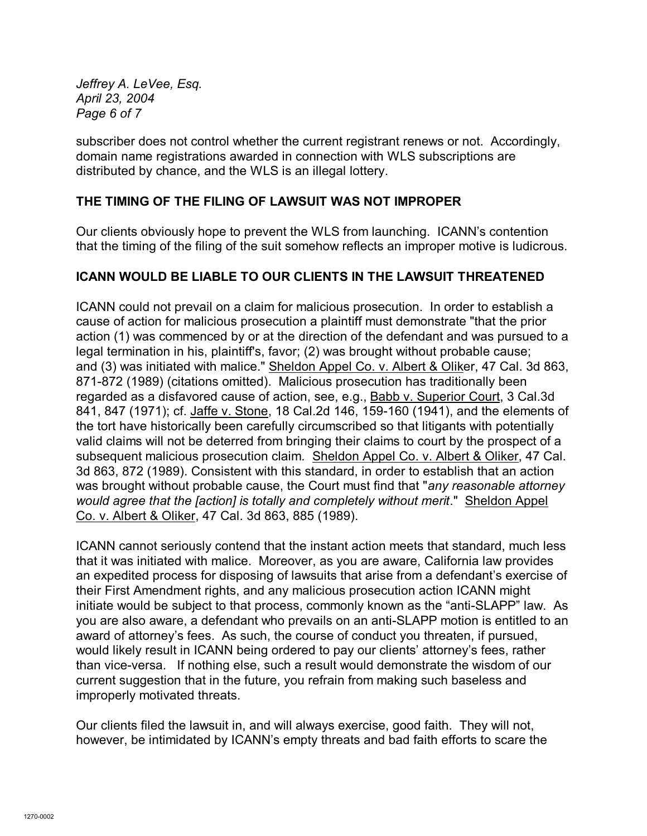*Jeffrey A. LeVee, Esq. April 23, 2004 Page 6 of 7*

subscriber does not control whether the current registrant renews or not. Accordingly, domain name registrations awarded in connection with WLS subscriptions are distributed by chance, and the WLS is an illegal lottery.

## **THE TIMING OF THE FILING OF LAWSUIT WAS NOT IMPROPER**

Our clients obviously hope to prevent the WLS from launching. ICANN's contention that the timing of the filing of the suit somehow reflects an improper motive is ludicrous.

### **ICANN WOULD BE LIABLE TO OUR CLIENTS IN THE LAWSUIT THREATENED**

ICANN could not prevail on a claim for malicious prosecution. In order to establish a cause of action for malicious prosecution a plaintiff must demonstrate "that the prior action (1) was commenced by or at the direction of the defendant and was pursued to a legal termination in his, plaintiff's, favor; (2) was brought without probable cause; and (3) was initiated with malice." Sheldon Appel Co. v. Albert & Oliker, 47 Cal. 3d 863, 871-872 (1989) (citations omitted). Malicious prosecution has traditionally been regarded as a disfavored cause of action, see, e.g., Babb v. Superior Court, 3 Cal.3d 841, 847 (1971); cf. Jaffe v. Stone, 18 Cal.2d 146, 159-160 (1941), and the elements of the tort have historically been carefully circumscribed so that litigants with potentially valid claims will not be deterred from bringing their claims to court by the prospect of a subsequent malicious prosecution claim. Sheldon Appel Co. v. Albert & Oliker, 47 Cal. 3d 863, 872 (1989). Consistent with this standard, in order to establish that an action was brought without probable cause, the Court must find that "*any reasonable attorney would agree that the [action] is totally and completely without merit*." Sheldon Appel Co. v. Albert & Oliker, 47 Cal. 3d 863, 885 (1989).

ICANN cannot seriously contend that the instant action meets that standard, much less that it was initiated with malice. Moreover, as you are aware, California law provides an expedited process for disposing of lawsuits that arise from a defendant's exercise of their First Amendment rights, and any malicious prosecution action ICANN might initiate would be subject to that process, commonly known as the "anti-SLAPP" law. As you are also aware, a defendant who prevails on an anti-SLAPP motion is entitled to an award of attorney's fees. As such, the course of conduct you threaten, if pursued, would likely result in ICANN being ordered to pay our clients' attorney's fees, rather than vice-versa. If nothing else, such a result would demonstrate the wisdom of our current suggestion that in the future, you refrain from making such baseless and improperly motivated threats.

Our clients filed the lawsuit in, and will always exercise, good faith. They will not, however, be intimidated by ICANN's empty threats and bad faith efforts to scare the